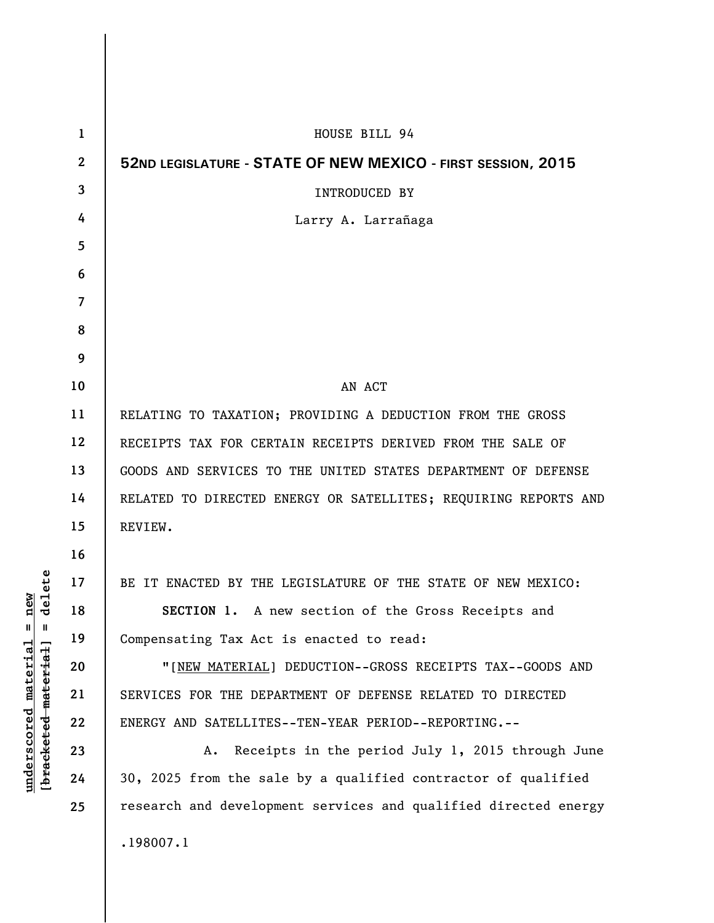| $\mathbf 1$    | HOUSE BILL 94                                                   |
|----------------|-----------------------------------------------------------------|
| $\mathbf{2}$   | 52ND LEGISLATURE - STATE OF NEW MEXICO - FIRST SESSION, 2015    |
| $\overline{3}$ | <b>INTRODUCED BY</b>                                            |
| 4              | Larry A. Larrañaga                                              |
| 5              |                                                                 |
| 6              |                                                                 |
| $\overline{7}$ |                                                                 |
| 8              |                                                                 |
| 9              |                                                                 |
| 10             | AN ACT                                                          |
| 11             | RELATING TO TAXATION; PROVIDING A DEDUCTION FROM THE GROSS      |
| 12             | RECEIPTS TAX FOR CERTAIN RECEIPTS DERIVED FROM THE SALE OF      |
| 13             | GOODS AND SERVICES TO THE UNITED STATES DEPARTMENT OF DEFENSE   |
| 14             | RELATED TO DIRECTED ENERGY OR SATELLITES; REQUIRING REPORTS AND |
| 15             | REVIEW.                                                         |
| 16             |                                                                 |
| 17             | BE IT ENACTED BY THE LEGISLATURE OF THE STATE OF NEW MEXICO:    |
| 18             | SECTION 1. A new section of the Gross Receipts and              |
| 19             | Compensating Tax Act is enacted to read:                        |
| 20             | "[NEW MATERIAL] DEDUCTION--GROSS RECEIPTS TAX--GOODS AND        |
| 21             | SERVICES FOR THE DEPARTMENT OF DEFENSE RELATED TO DIRECTED      |
| 22             | ENERGY AND SATELLITES--TEN-YEAR PERIOD--REPORTING.--            |
| 23             | A. Receipts in the period July 1, 2015 through June             |
| 24             | 30, 2025 from the sale by a qualified contractor of qualified   |
| 25             | research and development services and qualified directed energy |
|                | .198007.1                                                       |
|                |                                                                 |

 $\mathsf I$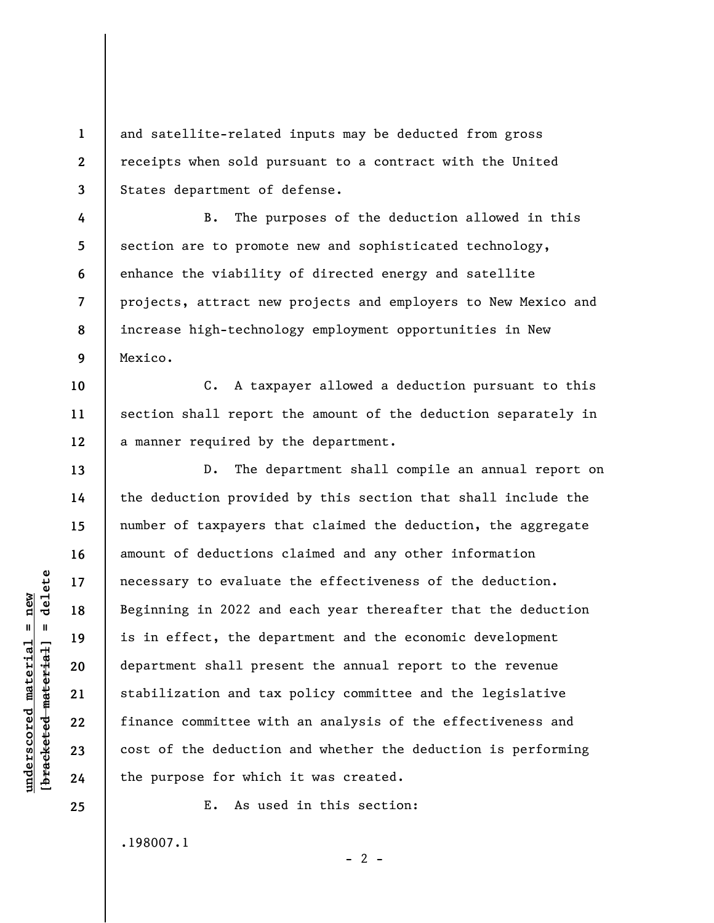and satellite-related inputs may be deducted from gross receipts when sold pursuant to a contract with the United States department of defense.

**4 5 6 7 8 9**  B. The purposes of the deduction allowed in this section are to promote new and sophisticated technology, enhance the viability of directed energy and satellite projects, attract new projects and employers to New Mexico and increase high-technology employment opportunities in New Mexico.

C. A taxpayer allowed a deduction pursuant to this section shall report the amount of the deduction separately in a manner required by the department.

D. The department shall compile an annual report on the deduction provided by this section that shall include the number of taxpayers that claimed the deduction, the aggregate amount of deductions claimed and any other information necessary to evaluate the effectiveness of the deduction. Beginning in 2022 and each year thereafter that the deduction is in effect, the department and the economic development department shall present the annual report to the revenue stabilization and tax policy committee and the legislative finance committee with an analysis of the effectiveness and cost of the deduction and whether the deduction is performing the purpose for which it was created.

E. As used in this section:

 $- 2 -$ 

.198007.1

 $\frac{1}{2}$  of  $\frac{1}{2}$  and  $\frac{1}{2}$  and  $\frac{1}{2}$  and  $\frac{1}{2}$  and  $\frac{1}{2}$  and  $\frac{1}{2}$  and  $\frac{1}{2}$  and  $\frac{1}{2}$  and  $\frac{1}{2}$  and  $\frac{1}{2}$  and  $\frac{1}{2}$  and  $\frac{1}{2}$  and  $\frac{1}{2}$  and  $\frac{1}{2}$  and  $\frac{1}{2}$  an **[bracketed material] = delete**  $underscored material = new$ **underscored material = new**

**1** 

**2** 

**3** 

**10** 

**11** 

**12** 

**13** 

**14** 

**15** 

**16** 

**17** 

**18** 

**19** 

**20** 

**21** 

**22** 

**23** 

**24** 

**25**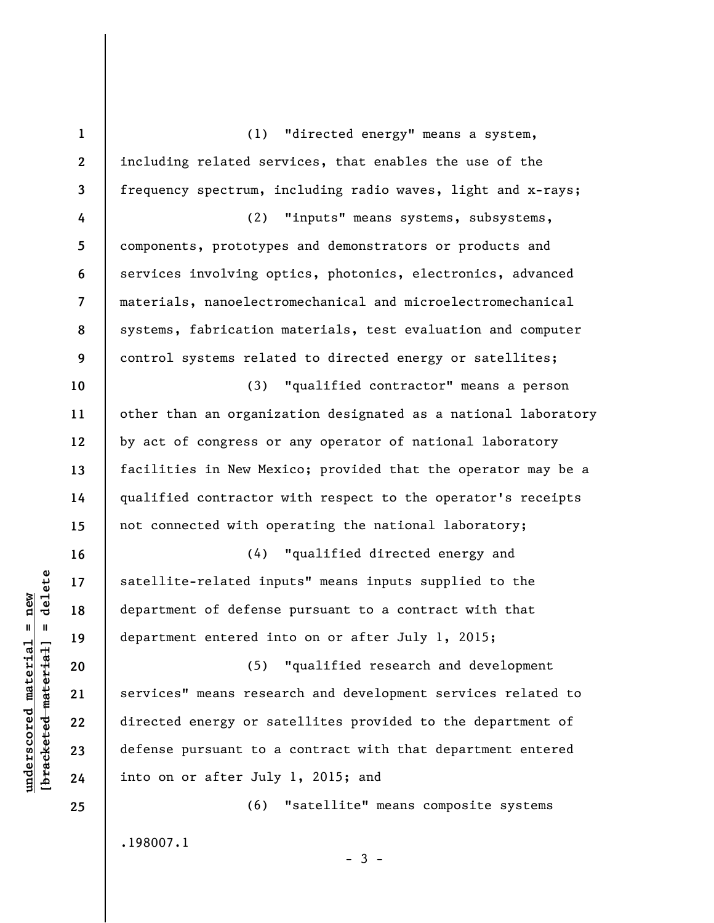**1 2 3 4 5 6 7 8 9 10 11 12 13 14 15 16 17 18 19 20 21 22 23 24 25**  (1) "directed energy" means a system, including related services, that enables the use of the frequency spectrum, including radio waves, light and x-rays; (2) "inputs" means systems, subsystems, components, prototypes and demonstrators or products and services involving optics, photonics, electronics, advanced materials, nanoelectromechanical and microelectromechanical systems, fabrication materials, test evaluation and computer control systems related to directed energy or satellites; (3) "qualified contractor" means a person other than an organization designated as a national laboratory by act of congress or any operator of national laboratory facilities in New Mexico; provided that the operator may be a qualified contractor with respect to the operator's receipts not connected with operating the national laboratory; (4) "qualified directed energy and satellite-related inputs" means inputs supplied to the department of defense pursuant to a contract with that department entered into on or after July 1, 2015; (5) "qualified research and development services" means research and development services related to directed energy or satellites provided to the department of defense pursuant to a contract with that department entered into on or after July 1, 2015; and (6) "satellite" means composite systems

 $-3 -$ 

.198007.1

 $\frac{1}{2}$  of  $\frac{1}{2}$  and  $\frac{1}{2}$  and  $\frac{1}{2}$  and  $\frac{1}{2}$  and  $\frac{1}{2}$  and  $\frac{1}{2}$  and  $\frac{1}{2}$  and  $\frac{1}{2}$  and  $\frac{1}{2}$  and  $\frac{1}{2}$  and  $\frac{1}{2}$  and  $\frac{1}{2}$  and  $\frac{1}{2}$  and  $\frac{1}{2}$  and  $\frac{1}{2}$  an **[bracketed material] = delete**  $underscored material = new$ **underscored material = new**